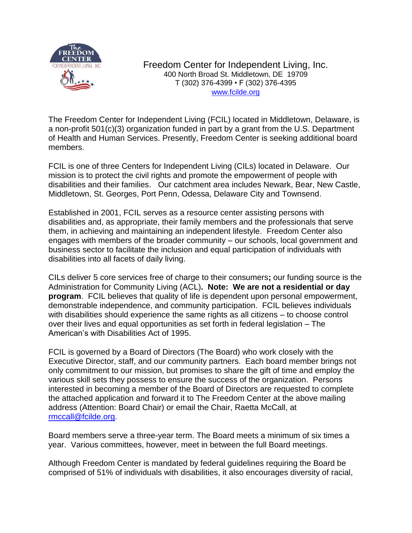

Freedom Center for Independent Living, Inc. 400 North Broad St. Middletown, DE 19709 T (302) 376-4399 • F (302) 376-4395 [www.fcilde.org](http://www.fcilde.org/)

The Freedom Center for Independent Living (FCIL) located in Middletown, Delaware, is a non-profit 501(c)(3) organization funded in part by a grant from the U.S. Department of Health and Human Services. Presently, Freedom Center is seeking additional board members.

FCIL is one of three Centers for Independent Living (CILs) located in Delaware. Our mission is to protect the civil rights and promote the empowerment of people with disabilities and their families. Our catchment area includes Newark, Bear, New Castle, Middletown, St. Georges, Port Penn, Odessa, Delaware City and Townsend.

Established in 2001, FCIL serves as a resource center assisting persons with disabilities and, as appropriate, their family members and the professionals that serve them, in achieving and maintaining an independent lifestyle. Freedom Center also engages with members of the broader community – our schools, local government and business sector to facilitate the inclusion and equal participation of individuals with disabilities into all facets of daily living.

CILs deliver 5 core services free of charge to their consumers**;** our funding source is the Administration for Community Living (ACL)**. Note: We are not a residential or day program**. FCIL believes that quality of life is dependent upon personal empowerment, demonstrable independence, and community participation. FCIL believes individuals with disabilities should experience the same rights as all citizens – to choose control over their lives and equal opportunities as set forth in federal legislation – The American's with Disabilities Act of 1995.

FCIL is governed by a Board of Directors (The Board) who work closely with the Executive Director, staff, and our community partners. Each board member brings not only commitment to our mission, but promises to share the gift of time and employ the various skill sets they possess to ensure the success of the organization. Persons interested in becoming a member of the Board of Directors are requested to complete the attached application and forward it to The Freedom Center at the above mailing address (Attention: Board Chair) or email the Chair, Raetta McCall, at [rmccall@fcilde.org.](mailto:rmccall@fcilde.org)

Board members serve a three-year term. The Board meets a minimum of six times a year. Various committees, however, meet in between the full Board meetings.

Although Freedom Center is mandated by federal guidelines requiring the Board be comprised of 51% of individuals with disabilities, it also encourages diversity of racial,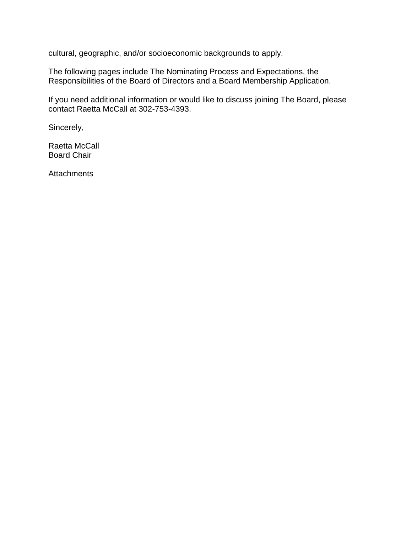cultural, geographic, and/or socioeconomic backgrounds to apply.

The following pages include The Nominating Process and Expectations, the Responsibilities of the Board of Directors and a Board Membership Application.

If you need additional information or would like to discuss joining The Board, please contact Raetta McCall at 302-753-4393.

Sincerely,

Raetta McCall Board Chair

**Attachments**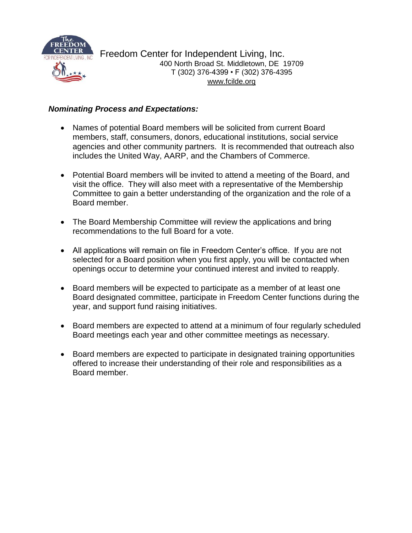

Freedom Center for Independent Living, Inc. 400 North Broad St. Middletown, DE 19709 T (302) 376-4399 • F (302) 376-4395 [www.fcilde.org](http://www.fcilde.org/)

#### *Nominating Process and Expectations:*

- Names of potential Board members will be solicited from current Board members, staff, consumers, donors, educational institutions, social service agencies and other community partners. It is recommended that outreach also includes the United Way, AARP, and the Chambers of Commerce.
- Potential Board members will be invited to attend a meeting of the Board, and visit the office. They will also meet with a representative of the Membership Committee to gain a better understanding of the organization and the role of a Board member.
- The Board Membership Committee will review the applications and bring recommendations to the full Board for a vote.
- All applications will remain on file in Freedom Center's office. If you are not selected for a Board position when you first apply, you will be contacted when openings occur to determine your continued interest and invited to reapply.
- Board members will be expected to participate as a member of at least one Board designated committee, participate in Freedom Center functions during the year, and support fund raising initiatives.
- Board members are expected to attend at a minimum of four regularly scheduled Board meetings each year and other committee meetings as necessary.
- Board members are expected to participate in designated training opportunities offered to increase their understanding of their role and responsibilities as a Board member.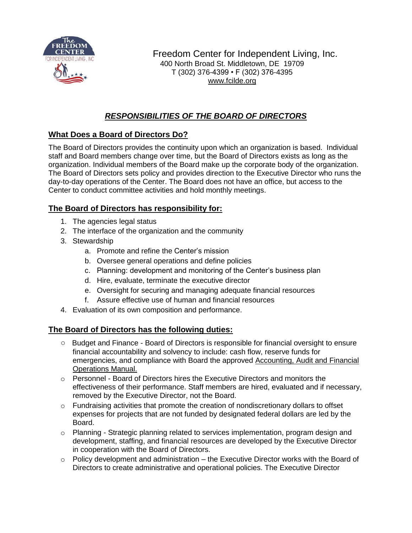

Freedom Center for Independent Living, Inc. 400 North Broad St. Middletown, DE 19709 T (302) 376-4399 • F (302) 376-4395 [www.fcilde.org](http://www.fcilde.org/)

# *RESPONSIBILITIES OF THE BOARD OF DIRECTORS*

## **What Does a Board of Directors Do?**

The Board of Directors provides the continuity upon which an organization is based. Individual staff and Board members change over time, but the Board of Directors exists as long as the organization. Individual members of the Board make up the corporate body of the organization. The Board of Directors sets policy and provides direction to the Executive Director who runs the day-to-day operations of the Center. The Board does not have an office, but access to the Center to conduct committee activities and hold monthly meetings.

## **The Board of Directors has responsibility for:**

- 1. The agencies legal status
- 2. The interface of the organization and the community
- 3. Stewardship
	- a. Promote and refine the Center's mission
	- b. Oversee general operations and define policies
	- c. Planning: development and monitoring of the Center's business plan
	- d. Hire, evaluate, terminate the executive director
	- e. Oversight for securing and managing adequate financial resources
	- f. Assure effective use of human and financial resources
- 4. Evaluation of its own composition and performance.

#### **The Board of Directors has the following duties:**

- Budget and Finance Board of Directors is responsible for financial oversight to ensure financial accountability and solvency to include: cash flow, reserve funds for emergencies, and compliance with Board the approved Accounting, Audit and Financial Operations Manual.
- $\circ$  Personnel Board of Directors hires the Executive Directors and monitors the effectiveness of their performance. Staff members are hired, evaluated and if necessary, removed by the Executive Director, not the Board.
- $\circ$  Fundraising activities that promote the creation of nondiscretionary dollars to offset expenses for projects that are not funded by designated federal dollars are led by the Board.
- o Planning Strategic planning related to services implementation, program design and development, staffing, and financial resources are developed by the Executive Director in cooperation with the Board of Directors.
- o Policy development and administration the Executive Director works with the Board of Directors to create administrative and operational policies. The Executive Director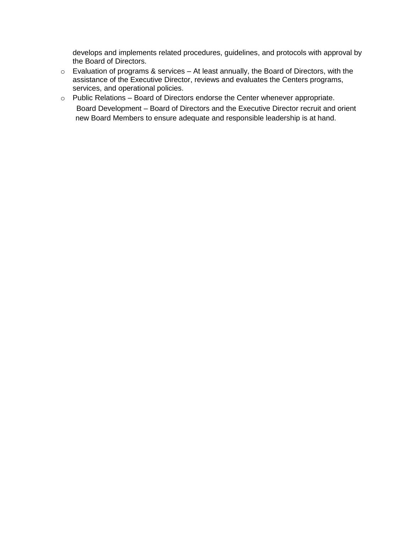develops and implements related procedures, guidelines, and protocols with approval by the Board of Directors.

- o Evaluation of programs & services At least annually, the Board of Directors, with the assistance of the Executive Director, reviews and evaluates the Centers programs, services, and operational policies.
- o Public Relations Board of Directors endorse the Center whenever appropriate. Board Development – Board of Directors and the Executive Director recruit and orient new Board Members to ensure adequate and responsible leadership is at hand.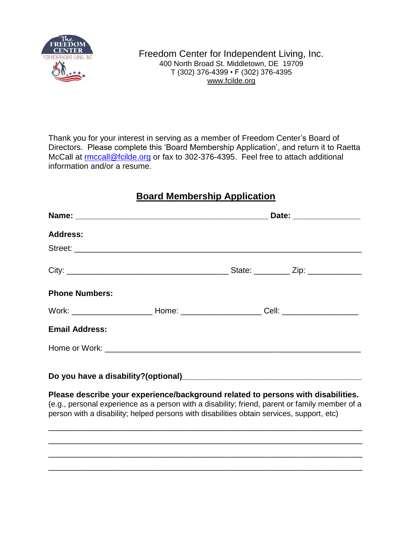

Thank you for your interest in serving as a member of Freedom Center's Board of Directors. Please complete this 'Board Membership Application', and return it to Raetta McCall at [rmccall@fcilde.org](mailto:rmccall@fcilde.org) or fax to 302-376-4395. Feel free to attach additional information and/or a resume.

# **Board Membership Application**

| Date: ________________ |                                                                                                                                                                                                                                                                                                                                                                                        |
|------------------------|----------------------------------------------------------------------------------------------------------------------------------------------------------------------------------------------------------------------------------------------------------------------------------------------------------------------------------------------------------------------------------------|
|                        |                                                                                                                                                                                                                                                                                                                                                                                        |
|                        |                                                                                                                                                                                                                                                                                                                                                                                        |
|                        |                                                                                                                                                                                                                                                                                                                                                                                        |
|                        |                                                                                                                                                                                                                                                                                                                                                                                        |
|                        |                                                                                                                                                                                                                                                                                                                                                                                        |
|                        |                                                                                                                                                                                                                                                                                                                                                                                        |
|                        |                                                                                                                                                                                                                                                                                                                                                                                        |
|                        |                                                                                                                                                                                                                                                                                                                                                                                        |
|                        |                                                                                                                                                                                                                                                                                                                                                                                        |
|                        |                                                                                                                                                                                                                                                                                                                                                                                        |
|                        |                                                                                                                                                                                                                                                                                                                                                                                        |
|                        | Work: ______________________________Home: __________________________Cell: _________________________<br>Please describe your experience/background related to persons with disabilities.<br>(e.g., personal experience as a person with a disability; friend, parent or family member of a<br>person with a disability; helped persons with disabilities obtain services, support, etc) |